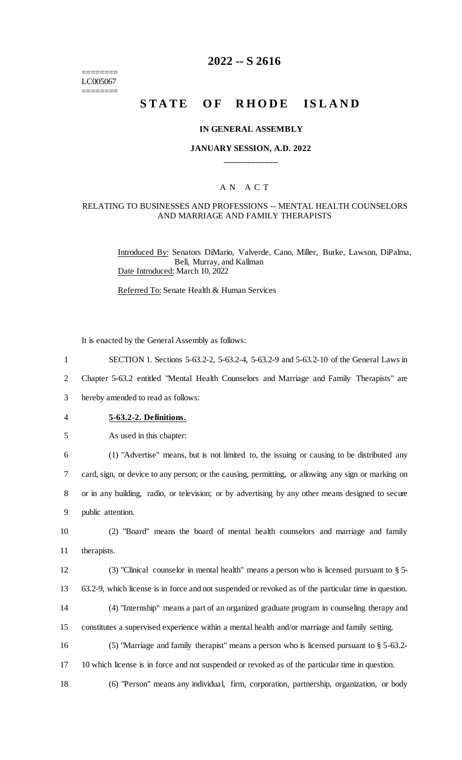======== LC005067 ========

# **2022 -- S 2616**

# **STATE OF RHODE ISLAND**

#### **IN GENERAL ASSEMBLY**

#### **JANUARY SESSION, A.D. 2022 \_\_\_\_\_\_\_\_\_\_\_\_**

#### A N A C T

#### RELATING TO BUSINESSES AND PROFESSIONS -- MENTAL HEALTH COUNSELORS AND MARRIAGE AND FAMILY THERAPISTS

Introduced By: Senators DiMario, Valverde, Cano, Miller, Burke, Lawson, DiPalma, Bell, Murray, and Kallman Date Introduced: March 10, 2022

Referred To: Senate Health & Human Services

It is enacted by the General Assembly as follows:

1 SECTION 1. Sections 5-63.2-2, 5-63.2-4, 5-63.2-9 and 5-63.2-10 of the General Laws in

2 Chapter 5-63.2 entitled "Mental Health Counselors and Marriage and Family Therapists" are

3 hereby amended to read as follows:

- 4 **5-63.2-2. Definitions.**
- 5 As used in this chapter:

 (1) "Advertise" means, but is not limited to, the issuing or causing to be distributed any card, sign, or device to any person; or the causing, permitting, or allowing any sign or marking on or in any building, radio, or television; or by advertising by any other means designed to secure public attention.

10 (2) "Board" means the board of mental health counselors and marriage and family 11 therapists.

12 (3) "Clinical counselor in mental health" means a person who is licensed pursuant to § 5- 13 63.2-9, which license is in force and not suspended or revoked as of the particular time in question. 14 (4) "Internship" means a part of an organized graduate program in counseling therapy and

15 constitutes a supervised experience within a mental health and/or marriage and family setting.

16 (5) "Marriage and family therapist" means a person who is licensed pursuant to § 5-63.2-

17 10 which license is in force and not suspended or revoked as of the particular time in question.

18 (6) "Person" means any individual, firm, corporation, partnership, organization, or body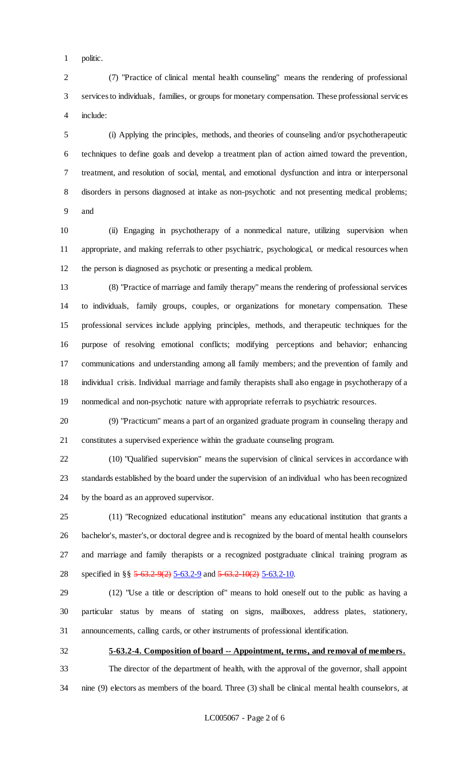politic.

 (7) "Practice of clinical mental health counseling" means the rendering of professional services to individuals, families, or groups for monetary compensation. These professional services include:

 (i) Applying the principles, methods, and theories of counseling and/or psychotherapeutic techniques to define goals and develop a treatment plan of action aimed toward the prevention, treatment, and resolution of social, mental, and emotional dysfunction and intra or interpersonal disorders in persons diagnosed at intake as non-psychotic and not presenting medical problems; and

 (ii) Engaging in psychotherapy of a nonmedical nature, utilizing supervision when appropriate, and making referrals to other psychiatric, psychological, or medical resources when the person is diagnosed as psychotic or presenting a medical problem.

 (8) "Practice of marriage and family therapy" means the rendering of professional services to individuals, family groups, couples, or organizations for monetary compensation. These professional services include applying principles, methods, and therapeutic techniques for the purpose of resolving emotional conflicts; modifying perceptions and behavior; enhancing communications and understanding among all family members; and the prevention of family and individual crisis. Individual marriage and family therapists shall also engage in psychotherapy of a nonmedical and non-psychotic nature with appropriate referrals to psychiatric resources.

 (9) "Practicum" means a part of an organized graduate program in counseling therapy and constitutes a supervised experience within the graduate counseling program.

 (10) "Qualified supervision" means the supervision of clinical services in accordance with standards established by the board under the supervision of an individual who has been recognized by the board as an approved supervisor.

 (11) "Recognized educational institution" means any educational institution that grants a bachelor's, master's, or doctoral degree and is recognized by the board of mental health counselors and marriage and family therapists or a recognized postgraduate clinical training program as 28 specified in §§ 5-63.2-9(2) 5-63.2-9 and 5-63.2-10(2) 5-63.2-10.

 (12) "Use a title or description of" means to hold oneself out to the public as having a particular status by means of stating on signs, mailboxes, address plates, stationery, announcements, calling cards, or other instruments of professional identification.

**5-63.2-4. Composition of board -- Appointment, terms, and removal of members.**

 The director of the department of health, with the approval of the governor, shall appoint nine (9) electors as members of the board. Three (3) shall be clinical mental health counselors, at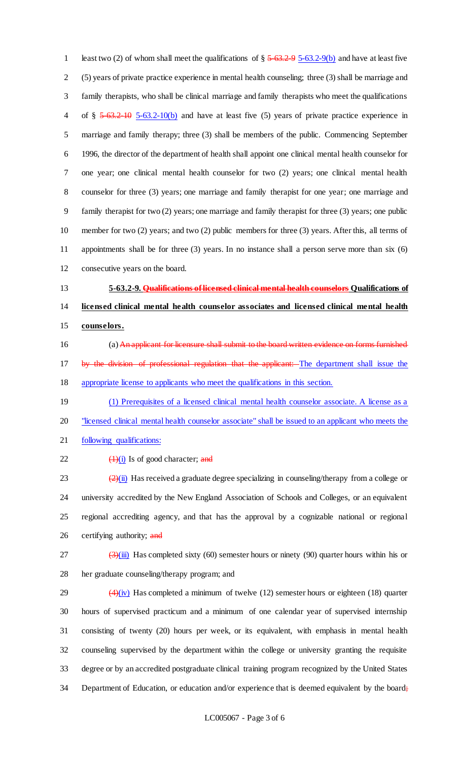1 least two (2) of whom shall meet the qualifications of  $\S 5-63.2-95-63.2-9(b)$  and have at least five (5) years of private practice experience in mental health counseling; three (3) shall be marriage and family therapists, who shall be clinical marriage and family therapists who meet the qualifications 4 of § 5-63.2-10 5-63.2-10(b) and have at least five (5) years of private practice experience in marriage and family therapy; three (3) shall be members of the public. Commencing September 1996, the director of the department of health shall appoint one clinical mental health counselor for one year; one clinical mental health counselor for two (2) years; one clinical mental health counselor for three (3) years; one marriage and family therapist for one year; one marriage and family therapist for two (2) years; one marriage and family therapist for three (3) years; one public member for two (2) years; and two (2) public members for three (3) years. After this, all terms of appointments shall be for three (3) years. In no instance shall a person serve more than six (6) consecutive years on the board.

 **5-63.2-9. Qualifications of licensed clinical mental health counselors Qualifications of licensed clinical mental health counselor associates and licensed clinical mental health counselors.**

- 16 (a) An applicant for licensure shall submit to the board written evidence on forms furnished 17 by the division of professional regulation that the applicant: The department shall issue the appropriate license to applicants who meet the qualifications in this section.
- 19 (1) Prerequisites of a licensed clinical mental health counselor associate. A license as a 20 "licensed clinical mental health counselor associate" shall be issued to an applicant who meets the
- following qualifications:
- 22  $\left(\frac{1}{1}\right)$  Is of good character; and

 $\left( \frac{2}{\text{ii}} \right)$  Has received a graduate degree specializing in counseling/therapy from a college or university accredited by the New England Association of Schools and Colleges, or an equivalent regional accrediting agency, and that has the approval by a cognizable national or regional 26 certifying authority; and

 $\frac{(3)(iii)}{(ii)}$  Has completed sixty (60) semester hours or ninety (90) quarter hours within his or her graduate counseling/therapy program; and

 $(4)(iv)$  Has completed a minimum of twelve (12) semester hours or eighteen (18) quarter hours of supervised practicum and a minimum of one calendar year of supervised internship consisting of twenty (20) hours per week, or its equivalent, with emphasis in mental health counseling supervised by the department within the college or university granting the requisite degree or by an accredited postgraduate clinical training program recognized by the United States 34 Department of Education, or education and/or experience that is deemed equivalent by the board;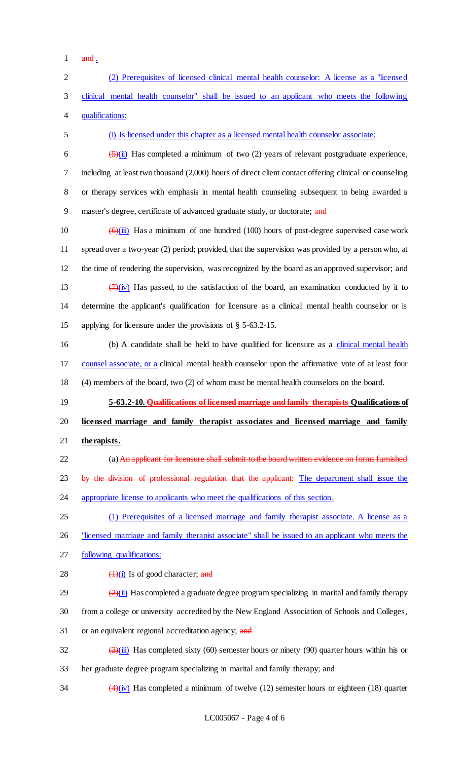- $1$  and .
- 2 (2) Prerequisites of licensed clinical mental health counselor: A license as a "licensed 3 clinical mental health counselor" shall be issued to an applicant who meets the following 4 qualifications: 5 (i) Is licensed under this chapter as a licensed mental health counselor associate; 6  $\frac{5}{\text{(i)}}$  Has completed a minimum of two (2) years of relevant postgraduate experience, 7 including at least two thousand (2,000) hours of direct client contact offering clinical or counseling 8 or therapy services with emphasis in mental health counseling subsequent to being awarded a 9 master's degree, certificate of advanced graduate study, or doctorate; and 10  $\left(\frac{\Theta(\text{iii})}{\Theta(\text{iv})}\right)$  Has a minimum of one hundred (100) hours of post-degree supervised case work 11 spread over a two-year (2) period; provided, that the supervision was provided by a person who, at 12 the time of rendering the supervision, was recognized by the board as an approved supervisor; and 13  $(7)(iv)$  Has passed, to the satisfaction of the board, an examination conducted by it to 14 determine the applicant's qualification for licensure as a clinical mental health counselor or is 15 applying for licensure under the provisions of § 5-63.2-15. 16 (b) A candidate shall be held to have qualified for licensure as a clinical mental health 17 counsel associate, or a clinical mental health counselor upon the affirmative vote of at least four 18 (4) members of the board, two (2) of whom must be mental health counselors on the board. 19 **5-63.2-10. Qualifications of licensed marriage and family therapists Qualifications of**  20 **licensed marriage and family therapist associates and licensed marriage and family**  21 **therapists.** 22 (a) An applicant for licensure shall submit to the board written evidence on forms furnished 23 by the division of professional regulation that the applicant: The department shall issue the 24 appropriate license to applicants who meet the qualifications of this section. 25 (1) Prerequisites of a licensed marriage and family therapist associate. A license as a 26 "licensed marriage and family therapist associate" shall be issued to an applicant who meets the 27 following qualifications: 28  $\left(\frac{1}{1}\right)$  Is of good character; and 29  $\frac{(2)(i)}{2}$  Has completed a graduate degree program specializing in marital and family therapy 30 from a college or university accredited by the New England Association of Schools and Colleges, 31 or an equivalent regional accreditation agency; and 32  $\left(\frac{3}{\text{iii}}\right)$  Has completed sixty (60) semester hours or ninety (90) quarter hours within his or 33 her graduate degree program specializing in marital and family therapy; and 34  $\left(4\right)\left(\frac{iv}{v}\right)$  Has completed a minimum of twelve (12) semester hours or eighteen (18) quarter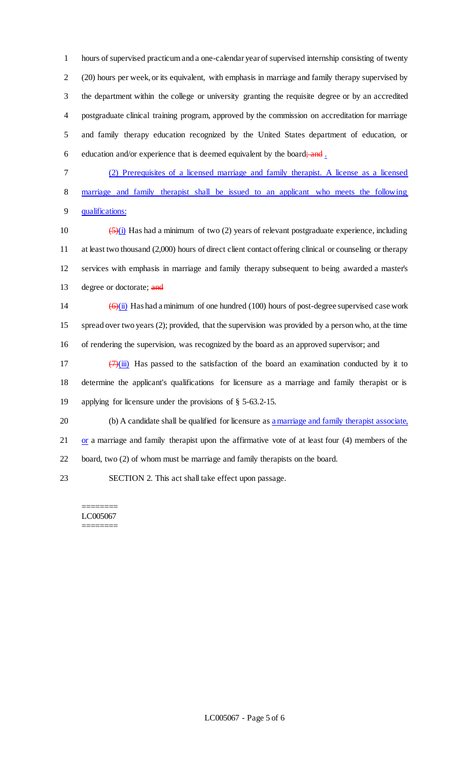hours of supervised practicum and a one-calendar year of supervised internship consisting of twenty (20) hours per week, or its equivalent, with emphasis in marriage and family therapy supervised by the department within the college or university granting the requisite degree or by an accredited postgraduate clinical training program, approved by the commission on accreditation for marriage and family therapy education recognized by the United States department of education, or 6 education and/or experience that is deemed equivalent by the board; and  $\frac{1}{2}$ 

7 (2) Prerequisites of a licensed marriage and family therapist. A license as a licensed 8 marriage and family therapist shall be issued to an applicant who meets the following 9 qualifications:

 $\left(\frac{5}{1}\right)$  Has had a minimum of two (2) years of relevant postgraduate experience, including at least two thousand (2,000) hours of direct client contact offering clinical or counseling or therapy services with emphasis in marriage and family therapy subsequent to being awarded a master's 13 degree or doctorate; and

14  $\left(\frac{\Theta(\mathbf{i})}{\Theta(\mathbf{i})}\right)$  Has had a minimum of one hundred (100) hours of post-degree supervised case work 15 spread over two years (2); provided, that the supervision was provided by a person who, at the time 16 of rendering the supervision, was recognized by the board as an approved supervisor; and

17  $(7)(iii)$  Has passed to the satisfaction of the board an examination conducted by it to 18 determine the applicant's qualifications for licensure as a marriage and family therapist or is 19 applying for licensure under the provisions of § 5-63.2-15.

20 (b) A candidate shall be qualified for licensure as a marriage and family therapist associate, 21 or a marriage and family therapist upon the affirmative vote of at least four (4) members of the 22 board, two (2) of whom must be marriage and family therapists on the board.

23 SECTION 2. This act shall take effect upon passage.

======== LC005067 ========